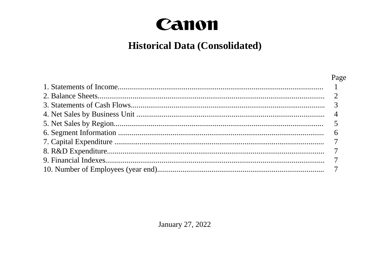## Canon

## **Historical Data (Consolidated)**

| Page |
|------|
|      |
|      |
|      |
|      |
|      |
|      |
|      |
|      |
|      |
|      |

January 27, 2022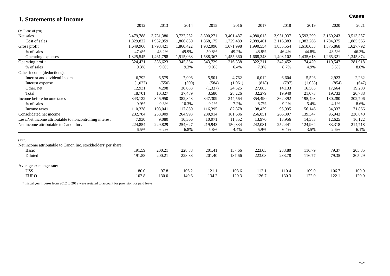| 1. Statements of Income                                        |           |           |           |           |           |           |           |           |           | Canon     |
|----------------------------------------------------------------|-----------|-----------|-----------|-----------|-----------|-----------|-----------|-----------|-----------|-----------|
|                                                                | 2012      | 2013      | 2014      | 2015      | 2016      | 2017      | 2018      | 2019      | 2020      | 2021      |
| (Millions of yen)                                              |           |           |           |           |           |           |           |           |           |           |
| Net sales                                                      | 3,479,788 | 3,731,380 | 3,727,252 | 3,800,271 | 3,401,487 | 4,080,015 | 3,951,937 | 3,593,299 | 3,160,243 | 3,513,357 |
| Cost of sales                                                  | 1.829.822 | 1,932,959 | 1,866,830 | 1,868,175 | 1,729,489 | 2,089,461 | 2,116,383 | 1,983,266 | 1,784,375 | 1,885,565 |
| Gross profit                                                   | 1,649,966 | 1,798,421 | 1,860,422 | 1,932,096 | 1,671,998 | 1,990,554 | 1,835,554 | 1,610,033 | 1,375,868 | 1,627,792 |
| % of sales                                                     | 47.4%     | 48.2%     | 49.9%     | 50.8%     | 49.2%     | 48.8%     | 46.4%     | 44.8%     | 43.5%     | 46.3%     |
| Operating expenses                                             | 1,325,545 | 1,461,798 | 1,515,068 | 1,588,367 | 1,455,660 | 1,668,343 | 1,493,102 | 1,435,613 | 1,265,321 | 1,345,874 |
| Operating profit                                               | 324,421   | 336,623   | 345,354   | 343,729   | 216,338   | 322,211   | 342,452   | 174,420   | 110,547   | 281,918   |
| % of sales                                                     | 9.3%      | 9.0%      | 9.3%      | 9.0%      | 6.4%      | 7.9%      | 8.7%      | 4.9%      | 3.5%      | 8.0%      |
| Other income (deductions):                                     |           |           |           |           |           |           |           |           |           |           |
| Interest and dividend income                                   | 6,792     | 6,579     | 7,906     | 5,501     | 4,762     | 6,012     | 6,604     | 5,526     | 2,923     | 2,232     |
| Interest expense                                               | (1,022)   | (550)     | (500)     | (584)     | (1,061)   | (818)     | (797)     | (1,038)   | (854)     | (647)     |
| Other, net                                                     | 12,931    | 4,298     | 30,083    | (1, 337)  | 24,525    | 27,085    | 14,133    | 16,585    | 17,664    | 19,203    |
| Total                                                          | 18,701    | 10,327    | 37,489    | 3,580     | 28,226    | 32,279    | 19,940    | 21,073    | 19,733    | 20,788    |
| Income before income taxes                                     | 343,122   | 346,950   | 382,843   | 347,309   | 244,564   | 354,490   | 362,392   | 195,493   | 130,280   | 302,706   |
| % of sales                                                     | 9.9%      | 9.3%      | 10.3%     | 9.1%      | 7.2%      | 8.7%      | 9.2%      | 5.4%      | 4.1%      | 8.6%      |
| Income taxes                                                   | 110,338   | 108,041   | 117,850   | 116,395   | 82,878    | 98,439    | 95,995    | 56,146    | 34,337    | 71,866    |
| Consolidated net income                                        | 232,784   | 238,909   | 264,993   | 230,914   | 161,686   | 256,051   | 266,397   | 139,347   | 95,943    | 230,840   |
| Less: Net income attributable to noncontrolling interest       | 7,930     | 9,080     | 10,366    | 10,971    | 11,352    | 13,970    | 13,956    | 14,383    | 12,625    | 16,122    |
| Net income attributable to Canon Inc.                          | 224,854   | 229,829   | 254,627   | 219,943   | 150,334   | 242,081   | 252,441   | 124,964   | 83,318    | 214,718   |
|                                                                | 6.5%      | 6.2%      | 6.8%      | 5.8%      | 4.4%      | 5.9%      | 6.4%      | 3.5%      | 2.6%      | 6.1%      |
| (Yen)                                                          |           |           |           |           |           |           |           |           |           |           |
| Net income attributable to Canon Inc. stockholders' per share: |           |           |           |           |           |           |           |           |           |           |
| Basic                                                          | 191.59    | 200.21    | 228.88    | 201.41    | 137.66    | 223.03    | 233.80    | 116.79    | 79.37     | 205.35    |
| Diluted                                                        | 191.58    | 200.21    | 228.88    | 201.40    | 137.66    | 223.03    | 233.78    | 116.77    | 79.35     | 205.29    |
| Average exchange rate:                                         |           |           |           |           |           |           |           |           |           |           |
| US\$                                                           | 80.0      | 97.8      | 106.2     | 121.1     | 108.6     | 112.1     | 110.4     | 109.0     | 106.7     | 109.9     |
| <b>EURO</b>                                                    | 102.8     | 130.0     | 140.6     | 134.2     | 120.3     | 126.7     | 130.3     | 122.0     | 122.1     | 129.9     |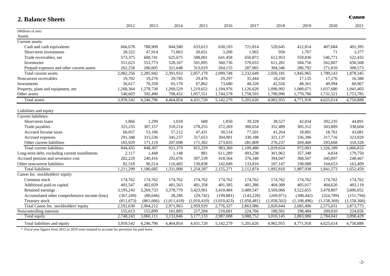| <b>2. Balance Sheets</b>                       |            |            |             |             |             |             |             |             |               | Canon         |
|------------------------------------------------|------------|------------|-------------|-------------|-------------|-------------|-------------|-------------|---------------|---------------|
|                                                | 2012       | 2013       | 2014        | 2015        | 2016        | 2017        | 2018        | 2019        | 2020          | 2021          |
| (Millions of yen)                              |            |            |             |             |             |             |             |             |               |               |
| Assets                                         |            |            |             |             |             |             |             |             |               |               |
| Current assets:                                |            |            |             |             |             |             |             |             |               |               |
| Cash and cash equivalents                      | 666,678    | 788,909    | 844,580     | 633,613     | 630,193     | 721,814     | 520,645     | 412,814     | 407,684       | 401,395       |
| Short-term investments                         | 28,322     | 47,914     | 71,863      | 20,651      | 3,206       | 1,965       | 956         | 1,767       | 71            | 3,377         |
| Trade receivables, net                         | 573,375    | 608,741    | 625,675     | 588,001     | 641,458     | 650,872     | 612,953     | 559,836     | 546,771       | 522,432       |
| Inventories                                    | 551,623    | 553,773    | 528,167     | 501,895     | 560,736     | 570,033     | 611,281     | 584,756     | 562,807       | 650,568       |
| Prepaid expenses and other current assets      | 262,258    | 286,605    | 321,648     | 313,019     | 264,155     | 287,965     | 304,346     | 286,792     | 271,810       | 300,573       |
| Total current assets                           | 2,082,256  | 2,285,942  | 2,391,933   | 2,057,179   | 2,099,748   | 2,232,649   | 2,050,181   | 1,845,965   | 1,789,143     | 1,878,345     |
| Noncurrent receivables                         | 19,702     | 19,276     | 29,785      | 29,476      | 29,297      | 35,444      | 18,230      | 17,135      | 17,276        | 16,388        |
| Investments                                    | 56,617     | 70,358     | 65,176      | 67,862      | 73,680      | 48,320      | 42,556      | 48,361      | 49,994        | 60,967        |
| Property, plant and equipment, net             | 1,260,364  | 1,278,730  | 1,269,529   | 1,219,652   | 1,194,976   | 1,126,620   | 1,090,992   | 1,089,671   | 1,037,680     | 1,041,403     |
| Other assets                                   | 540,603    | 592,490    | 708,431     | 1,057,551   | 1,744,578   | 1,758,593   | 1,700,996   | 1,770,786   | 1,731,521     | 1,753,785     |
| Total assets                                   | 3,959,542  | 4,246,796  | 4,464,854   | 4,431,720   | 5,142,279   | 5,201,626   | 4,902,955   | 4,771,918   | 4,625,614     | 4,750,888     |
| Liabilities and equity                         |            |            |             |             |             |             |             |             |               |               |
| Current liabilities:                           |            |            |             |             |             |             |             |             |               |               |
| Short-term loans                               | 1,866      | 1,299      | 1,018       | 688         | 1,850       | 39,328      | 38,527      | 42,034      | 392,235       | 44,891        |
| Trade payables                                 | 325,235    | 307,157    | 310,214     | 278,255     | 372,269     | 380,654     | 352,489     | 305,312     | 303,809       | 338,604       |
| Accrued Income taxes                           | 60,057     | 53,196     | 57,212      | 47,431      | 30,514      | 77,501      | 41,264      | 18,801      | 18,761        | 43,081        |
| Accrued expenses                               | 291,348    | 315,536    | 345,237     | 317,653     | 304,901     | 330,188     | 321,137     | 336,396     | 317,716       | 323,929       |
| Other current liabilities                      | 165,929    | 171,119    | 207,698     | 171,302     | 273,835     | 281,809     | 276,237     | 269,460     | 293,668       | 310,328       |
| Total current liabilities                      | 844,435    | 848,307    | 921,379     | 815,329     | 983,369     | 1,109,480   | 1,029,654   | 972,003     | 1,326,189     | 1,060,833     |
| Long-term debt, excluding current installments | 2,117      | 1,448      | 1,148       | 881         | 611,289     | 493,238     | 361,962     | 357,340     | 4,834         | 179,750       |
| Accrued pension and severance cost             | 282,229    | 240,416    | 292,076     | 307,539     | 418,564     | 376,340     | 394,047     | 368,507     | 345,897       | 248,467       |
| Other noncurrent liabilities                   | 82,518     | 96,514     | 116,405     | 130,838     | 142,049     | 133,816     | 107,147     | 190,088     | 164,653       | 163,409       |
| <b>Total liabilities</b>                       | 1,211,299  | 1,186,685  | 1,331,008   | 1,254,587   | 2,155,271   | 2,112,874   | 1,892,810   | 1,887,938   | 1,841,573     | 1,652,459     |
| Canon Inc. stockholders' equity:               |            |            |             |             |             |             |             |             |               |               |
| Common stock                                   | 174,762    | 174,762    | 174,762     | 174,762     | 174,762     | 174,762     | 174,762     | 174,762     | 174,762       | 174,762       |
| Additional paid-in capital                     | 401,547    | 402,029    | 401,563     | 401,358     | 401,385     | 401,386     | 404,389     | 405,017     | 404,620       | 403,119       |
| Retained earnings                              | 3,195,243  | 3,269,733  | 3,378,770   | 3,423,961   | 3,410,484   | 3,489,547   | 3,569,066   | 3,522,655   | 3,478,807     | 3,606,052     |
| Accumulated other comprehensive income (loss)  | (367, 249) | (80, 646)  | 28,286      | (29, 742)   | (199, 881)  | (143,228)   | (269,071)   | (308, 442)  | (324,789)     | (151, 794)    |
| Treasury stock                                 | (811, 673) | (861, 666) | (1,011,418) | (1,010,410) | (1,010,423) | (1,058,481) | (1,058,502) | (1,108,496) | (1, 158, 369) | (1, 158, 366) |
| Total Canon Inc. stockholders' equity          | 2,592,630  | 2,904,212  | 2,971,963   | 2,959,929   | 2,776,327   | 2,863,986   | 2,820,644   | 2,685,496   | 2,575,031     | 2,873,773     |
| Noncontrolling interests                       | 155,613    | 155,899    | 161,883     | 217,204     | 210,681     | 224,766     | 189,501     | 198,484     | 209,010       | 224,656       |
| Total equity                                   | 2,748,243  | 3,060,111  | 3,133,846   | 3,177,133   | 2,987,008   | 3,088,752   | 3,010,145   | 2,883,980   | 2,784,041     | 3,098,429     |
| Total liabilities and equity                   | 3,959,542  | 4,246,796  | 4,464,854   | 4,431,720   | 5,142,279   | 5,201,626   | 4,902,955   | 4,771,918   | 4,625,614     | 4,750,888     |
|                                                |            |            |             |             |             |             |             |             |               |               |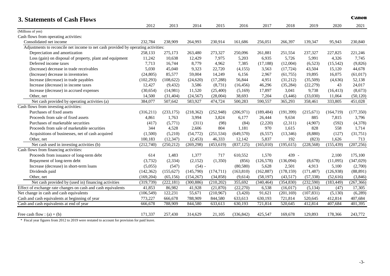| <b>3. Statements of Cash Flows</b>                                                |            |            |            |            |                      |            |            |            |            | Canon      |
|-----------------------------------------------------------------------------------|------------|------------|------------|------------|----------------------|------------|------------|------------|------------|------------|
|                                                                                   | 2012       | 2013       | 2014       | 2015       | 2016                 | 2017       | 2018       | 2019       | 2020       | 2021       |
| (Millions of yen)                                                                 |            |            |            |            |                      |            |            |            |            |            |
| Cash flows from operating activities:                                             |            |            |            |            |                      |            |            |            |            |            |
| Consolidated net income                                                           | 232,784    | 238,909    | 264,993    | 230.914    | 161.686              | 256.051    | 266,397    | 139.347    | 95,943     | 230,840    |
| Adjustments to reconcile net income to net cash provided by operating activities: |            |            |            |            |                      |            |            |            |            |            |
| Depreciation and amortization                                                     | 258,133    | 275,173    | 263,480    | 273,327    | 250,096              | 261,881    | 251,554    | 237,327    | 227,825    | 221,246    |
| Loss (gain) on disposal of property, plant and equipment                          | 11,242     | 10,638     | 12,429     | 7,975      | 5,203                | 6,935      | 5,726      | 5,991      | 4,326      | 7,745      |
| Deferred income taxes                                                             | 7,713      | 16,744     | 8,779      | 4,962      | 7,385                | (17, 188)  | (12,004)   | (6,523)    | (15,542)   | (9,826)    |
| (Increase) decrease in trade receivables                                          | 5,030      | 45,040     | 9,323      | 22,720     | (4, 155)             | 3,563      | (17, 724)  | 43,504     | 15,120     | 44,678     |
| (Increase) decrease in inventories                                                | (24, 805)  | 85,577     | 59,004     | 14,249     | 6,156                | 2,967      | (61, 755)  | 19,895     | 16,075     | (61, 017)  |
| Increase (decrease) in trade payables                                             | (102, 293) | (108, 622) | (24, 620)  | (17, 288)  | 56,844               | 4,951      | (31,212)   | (35,509)   | (4,636)    | 52,138     |
| Increase (decrease) in income taxes                                               | 12,427     | (9, 432)   | 3,586      | (8,731)    | (16, 456)            | 46,296     | (35, 284)  | (22, 279)  | 43         | 24,017     |
| Increase (decrease) in accrued expenses                                           | (30, 654)  | (14,981)   | 11,520     | (25,400)   | (5,169)              | 17,897     | 3,041      | 9,738      | (16, 413)  | (8,673)    |
| Other, net                                                                        | 14,500     | (31, 404)  | (24, 567)  | (28,004)   | 38,693               | 7,204      | (3, 446)   | (33,030)   | 11,064     | (50, 120)  |
| Net cash provided by operating activities (a)                                     | 384,077    | 507,642    | 583,927    | 474,724    | $\overline{500,283}$ | 590,557    | 365,293    | 358,461    | 333,805    | 451,028    |
| Cash flows from investing activities:                                             |            |            |            |            |                      |            |            |            |            |            |
| Purchases of fixed assets                                                         | (316,211)  | (233, 175) | (218, 362) | (252,948)  | (206, 971)           | (189, 484) | (191, 399) | (215,671)  | (164, 719) | (177, 350) |
| Proceeds from sale of fixed assets                                                | 4,861      | 1,763      | 3,994      | 3,824      | 6,177                | 26,444     | 9,634      | 885        | 7,815      | 3,796      |
| Purchases of marketable securities                                                | (417)      | (5,771)    | (311)      | (98)       | (84)                 | (2,220)    | (2,311)    | (4,907)    | (592)      | (4,378)    |
| Proceeds from sale of marketable securities                                       | 344        | 4,528      | 2,606      | 804        | 1,181                | 970        | 1,615      | 828        | 558        | 1,714      |
| Acquisitions of businesses, net of cash acquired                                  | (1,500)    | (5,210)    | (54, 772)  | (251, 534) | (649, 570)           | (6, 557)   | (13,346)   | (8,880)    | (127)      | (31, 751)  |
| Other, net                                                                        | 100,183    | (12, 347)  | (2,453)    | 46,333     | 12,142               | 5,837      | 192        | (823)      | 1,626      | 713        |
| Net cash used in investing activities (b)                                         | (212,740)  | (250, 212) | (269, 298) | (453, 619) | (837, 125)           | (165,010)  | (195, 615) | (228, 568) | (155, 439) | (207, 256) |
| Cash flows from financing activities:                                             |            |            |            |            |                      |            |            |            |            |            |
| Proceeds from issuance of long-term debt                                          | 614        | 1,483      | 1,377      | 717        | 610,552              | 1,570      | 439 -      |            | 2,100      | 175,100    |
| Repayment of long-term debt                                                       | (3,732)    | (2, 334)   | (2,152)    | (1,350)    | (856)                | (126, 578) | (136,094)  | (8,678)    | (11,095)   | (347, 029) |
| Increase (decrease) in short-term loans                                           | (5,055)    | (547)      | $(54) -$   |            | (80, 580)            | 5,628      | 2,501      | 4,913      | 5,100      | (2,700)    |
| Dividends paid                                                                    | (142, 362) | (155, 627) | (145,790)  | (174, 711) | (163, 810)           | (162, 887) | (178, 159) | (171, 487) | (126,938)  | (88, 891)  |
| Other, net                                                                        | (169, 204) | (65, 156)  | (154, 267) | (34, 858)  | (9,614)              | (58, 197)  | (43,517)   | (57, 338)  | (52, 616)  | (3,846)    |
| Net cash provided by (used in) financing activities                               | (319, 739) | (222, 181) | (300, 886) | (210, 202) | 355,692              | (340, 464) | (354, 830) | (232,590)  | (183, 449) | (267, 366) |
| Effect of exchange rate changes on cash and cash equivalents                      | 41,853     | 86,982     | 41,928     | (21, 870)  | (22, 270)            | 6,538      | (16, 017)  | (5, 134)   | (47)       | 17,305     |
| Net change in cash and cash equivalents                                           | (106, 549) | 122,231    | 55,671     | (210,967)  | (3,420)              | 91,621     | (201, 169) | (107, 831) | (5,130)    | (6,289)    |
| Cash and cash equivalents at beginning of year                                    | 773,227    | 666,678    | 788,909    | 844,580    | 633,613              | 630,193    | 721,814    | 520,645    | 412,814    | 407,684    |
| Cash and cash equivalents at end of year                                          | 666,678    | 788,909    | 844,580    | 633,613    | 630,193              | 721,814    | 520,645    | 412,814    | 407,684    | 401,395    |
| Free cash flow : $(a) + (b)$                                                      | 171,337    | 257,430    | 314,629    | 21,105     | (336, 842)           | 425,547    | 169,678    | 129,893    | 178,366    | 243,772    |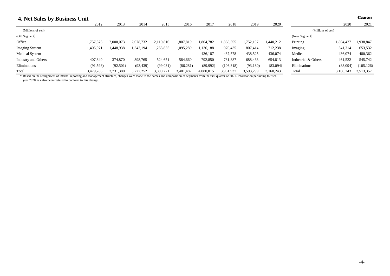| 4. Net Sales by Business Unit |                          |           |           |           |           |           |           |           |           |                     |           | Canon      |
|-------------------------------|--------------------------|-----------|-----------|-----------|-----------|-----------|-----------|-----------|-----------|---------------------|-----------|------------|
|                               | 2012                     | 2013      | 2014      | 2015      | 2016      | 2017      | 2018      | 2019      | 2020      |                     | 2020      | 2021       |
| (Millions of yen)             |                          |           |           |           |           |           |           |           |           | (Millions of yen)   |           |            |
| (Old Segment)                 |                          |           |           |           |           |           |           |           |           | (New Segment)       |           |            |
| Office                        | 1,757,575                | 2,000,073 | 2,078,732 | 2,110,816 | .807,819  | 1,804,782 | 1,868,355 | 1,752,107 | ,440,212  | Printing            | 1,804,427 | 1,938,847  |
| Imaging System                | 1,405,971                | .448,938  | 1,343,194 | 1,263,835 | 1,095,289 | .136,188  | 970,435   | 807,414   | 712,238   | Imaging             | 541,314   | 653,532    |
| Medical System                | $\overline{\phantom{a}}$ |           |           |           | $\sim$    | 436,187   | 437,578   | 438,525   | 436,074   | Medica              | 436,074   | 480,362    |
| Industry and Others           | 407,840                  | 374,870   | 398,765   | 524,651   | 584,660   | 792,850   | 781,887   | 688,433   | 654,813   | Industrial & Others | 461,522   | 545,742    |
| Eliminations                  | (91, 598)                | (92,501)  | (93, 439) | (99, 031) | (86, 281) | (89,992)  | (106,318) | (93,180)  | (83,094)  | Eliminations        | (83,094)  | (105, 126) |
| Total                         | 3,479,788                | 3,731,380 | 3,727,252 | 3,800,27  | 3,401,487 | 4,080,015 | 3,951,937 | 3,593,299 | 3,160,243 | Total               | 3.160.243 | 3,513,357  |

\* Based on the realignment of internal reporting and management structure, changes were made to the names and composition of segments from the first quarter of 2021. Information pertaining to fiscal year 2020 has also been restated to conform to this change.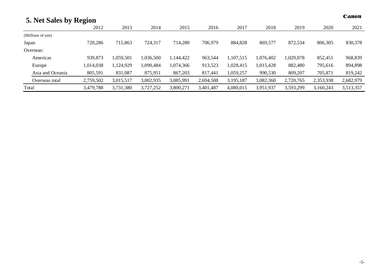| 5. Net Sales by Region |           |           |           |           |           |           |           |           |           | Canon     |
|------------------------|-----------|-----------|-----------|-----------|-----------|-----------|-----------|-----------|-----------|-----------|
|                        | 2012      | 2013      | 2014      | 2015      | 2016      | 2017      | 2018      | 2019      | 2020      | 2021      |
| (Millions of yen)      |           |           |           |           |           |           |           |           |           |           |
| Japan                  | 720,286   | 715,863   | 724,317   | 714,280   | 706,979   | 884,828   | 869,577   | 872,534   | 806,305   | 830,378   |
| Overseas:              |           |           |           |           |           |           |           |           |           |           |
| Americas               | 939,873   | 1,059,501 | 1,036,500 | 1,144,422 | 963,544   | 1,107,515 | 1,076,402 | 1,029,078 | 852,451   | 968,839   |
| Europe                 | 1,014,038 | 1,124,929 | ,090,484  | 1,074,366 | 913,523   | 1,028,415 | 1,015,428 | 882,480   | 795,616   | 894,898   |
| Asia and Oceania       | 805,591   | 831,087   | 875,951   | 867,203   | 817,441   | 1,059,257 | 990,530   | 809,207   | 705,871   | 819,242   |
| Overseas total         | 2,759,502 | 3,015,517 | 3,002,935 | 3,085,991 | 2,694,508 | 3,195,187 | 3,082,360 | 2,720,765 | 2,353,938 | 2,682,979 |
| Total                  | 3,479,788 | 3,731,380 | 3,727,252 | 3,800,271 | 3,401,487 | 4,080,015 | 3,951,937 | 3,593,299 | 3,160,243 | 3,513,357 |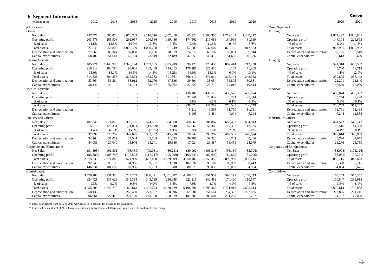| <b>6. Segment Information</b> |                          |            |           |                          |           |            |            |           |           |                      |                               |           | canon      |
|-------------------------------|--------------------------|------------|-----------|--------------------------|-----------|------------|------------|-----------|-----------|----------------------|-------------------------------|-----------|------------|
| (Millions of yen)             | 2012                     | 2013       | 2014      | 2015                     | 2016      | 2017       | 2018       | 2019      | 2020      |                      |                               | 2020      | 2021       |
| (Old Segment)                 |                          |            |           |                          |           |            |            |           |           | (New Segment)        |                               |           |            |
| Ofiice:                       |                          |            |           |                          |           |            |            |           |           | Printing:            |                               |           |            |
| <b>Net Sales</b>              | 1,757,575                | 2,000,073  | 2,078,732 | 2,110,816                | 1,807,819 | 1,865,928  | 1,868,355  | 1,752,107 | 1,440,212 |                      | Net Sales                     | 1,804,427 | 1,938,847  |
| Operating profit              | 203,578                  | 266,908    | 292,057   | 290,586                  | 169,486   | 174,562    | 217,083    | 164,996   | 81,369    |                      | Operating profit              | 147,108   | 225,693    |
| % of sales                    | 11.6%                    | 13.3%      | 14.0%     | 13.8%                    | 9.4%      | 9.4%       | 11.6%      | 9.4%      | 5.6%      |                      | % of sales                    | 8.2%      | 11.6%      |
| Total assets                  | 927,543                  | 954,803    | 1,025,499 | 1,020,758                | 961,749   | 962,006    | 937,607    | 878,705   | 812,553   |                      | <b>Total</b> assets           | 913,931   | .009,922   |
| Depreciation and amortization | 77,660                   | 88,344     | 87,058    | 86,206                   | 78,319    | 74,377     | 66,107     | 59,061    | 56,814    |                      | Depreciation and amortization | 69,725    | 69,549     |
| Capital expenditures          | 58,402                   | 54,644     | 69,704    | 73,819                   | 72,189    | 47,653     | 48,415     | 51,680    | 46,536    |                      | Capital expenditures          | 56,613    | 63,609     |
| Imaging System:               |                          |            |           |                          |           |            |            |           |           | Imaging:             |                               |           |            |
| Net Sales                     | 1,405,971                | 1,448,938  | 1,343,194 | 1,263,835                | 1,095,289 | 1,099,125  | 970,435    | 807,414   | 712,238   |                      | Net Sales                     | 541,314   | 653,532    |
| Operating profit              | 210,318                  | 203,794    | 194,601   | 183,439                  | 144,413   | 176,287    | 126,836    | 48,167    | 71,805    |                      | Operating profit              | 5,730     | 78,718     |
| % of sales                    | 15.0%                    | 14.1%      | 14.5%     | 14.5%                    | 13.2%     | 16.0%      | 13.1%      | 6.0%      | 10.1%     |                      | % of sales                    | 1.1%      | 12.0%      |
| <b>Total</b> assets           | 614,328                  | 584,856    | 517,524   | 452,283                  | 391,661   | 368,410    | 371,944    | 313,141   | 242,923   |                      | Total assets                  | 239,605   | 236,143    |
| Depreciation and amortization | 53,664                   | 56,564     | 53,912    | 52,070                   | 47,386    | 39,694     | 38,054     | 35,805    | 30,381    |                      | Depreciation and amortization | 22,201    | 21,840     |
| Capital expenditures          | 58,142                   | 44,112     | 31,124    | 38,337                   | 25,564    | 27,220     | 25,712     | 24,016    | 19,814    |                      | Capital expenditures          | 12,540    | 12,069     |
| Medical System:               |                          |            |           |                          |           |            |            |           |           | Medical:             |                               |           |            |
| Net Sales                     |                          |            |           |                          |           | 436,187    | 437,578    | 438,525   | 436,074   |                      | Net Sales                     | 436,074   | 480,362    |
| Operating profit              |                          |            |           |                          |           | 21,941     | 28,839     | 26,744    | 25,244    |                      | Operating profit              | 25,244    | 29,420     |
| % of sales                    |                          |            |           | $\overline{\phantom{a}}$ |           | 5.0%       | 6.6%       | 6.1%      | 5.8%      |                      | % of sales                    | 5.8%      | 6.1%       |
| Total assets                  |                          |            |           | $\sim$                   |           | 238,824    | 247,282    | 273,525   | 286,749   |                      | Total assets                  | 286,749   | 311,247    |
| Depreciation and amortization | $\overline{a}$           |            |           | $\overline{a}$           |           | 5,212      | 9,365      | 11,760    | 11,781    |                      | Depreciation and amortization | 11,781    | 12,435     |
| Capital expenditures          | $\overline{\phantom{a}}$ |            |           | $\overline{\phantom{a}}$ |           | 8,963      | 7,454      | 7,074     | 7,244     |                      | Capital expenditures          | 7,244     | 11,888     |
| Industry and Others:          |                          |            |           |                          |           |            |            |           |           | Industrial & Others: |                               |           |            |
| <b>Net Sales</b>              | 407,840                  | 374,870    | 398,765   | 524,651                  | 584,660   | 768,767    | 781,887    | 688,433   | 654,813   |                      | Net Sales                     | 461,522   | 545,742    |
| Operating profit              | 5,910                    | (25, 331)  | (21, 801) | (13,079)                 | 7,448     | 52,665     | 59,386     | 19,392    | 13,225    |                      | Operating profit              | 20,516    | 44,308     |
| % of sales                    | 1.4%                     | $(6.8\%)$  | $(5.5\%)$ | $(2.5\%)$                | 1.3%      | 6.9%       | 7.6%       | 2.8%      | 2.0%      |                      | % of sales                    | 4.4%      | 8.1%       |
| Total assets                  | 337,899                  | 328,202    | 342,695   | 332,252                  | 545,210   | 378,949    | 390,282    | 409,587   | 446.674   |                      | <b>Total</b> assets           | 348.614   | 345,883    |
| Depreciation and amortization | 34,264                   | 37,072     | 37,544    | 45,064                   | 41,053    | 39,706     | 39,926     | 40,732    | 40,406    |                      | Depreciation and amortization | 28,720    | 27,677     |
| Capital expenditures          | 44,086                   | 27,040     | 15,976    | 24,241                   | 29,346    | 17,024     | 23,887     | 33,458    | 24,079    |                      | Capital expenditures          | 21,276    | 25,759     |
| Corporate and Eliminations:   |                          |            |           |                          |           |            |            |           |           |                      | Corporate and Eliminations:   |           |            |
| <b>Net Sales</b>              | (91, 598)                | (92, 501)  | (93, 439) | (99, 031)                | (86, 281) | (89,992)   | (106, 318) | (93, 180) | (83,094)  |                      | Net Sales                     | (83,094)  | (105, 126) |
| Operating profit              | (95, 385)                | (108, 748) | (119,503) | (117, 217)               | (105,009) | (103, 244) | (89, 692)  | (84, 879) | (81,096)  |                      | Operating profit              | (88.051)  | (96, 221)  |
| Total assets                  | 2,075,733                | 2,374,849  | 2,574,900 | 2,622,480                | 3,239,909 | 3,250,102  | 2,952,350  | 2,896,960 | 2,836,715 |                      | <b>Total</b> assets           | 2,836,715 | 2,847,693  |
| Depreciation and amortization | 92,545                   | 93,193     | 84,966    | 89,987                   | 83,338    | 102,892    | 98,102     | 89,969    | 88,443    |                      | Depreciation and amortization | 95,398    | 89,745     |
| Capital expenditures          | 146,031                  | 101,682    | 107,956   | 106,733                  | 81,280    | 80,529     | 95,036     | 95,000    | 64,054    |                      | Capital expenditures          | 64,054    | 65,675     |
| Consolidated:                 |                          |            |           |                          |           |            |            |           |           | Consolidated:        |                               |           |            |
| <b>Net Sales</b>              | 3,479,788                | 3,731,380  | 3,727,252 | 3,800,271                | 3,401,487 | 4,080,015  | 3,951,937  | 3,593,299 | 3,160,243 |                      | Net Sales                     | 3.160.243 | 3,513,357  |
| Operating profit              | 324,421                  | 336,623    | 345,354   | 343,729                  | 216,338   | 322,211    | 342,452    | 174,420   | 110,547   |                      | Operating profit              | 110,547   | 281,918    |
| % of sales                    | 9.3%                     | 9.0%       | 9.3%      | 9.0%                     | 6.4%      | 7.9%       | 8.7%       | 4.9%      | 3.5%      |                      | % of sales                    | 3.5%      | 8.0%       |
| <b>Total</b> assets           | 3,955,503                | 4,242,710  | 4,460,618 | 4,427,773                | 5,138,529 | 5,198,291  | 4,899,465  | 4,771,918 | 4,625,614 |                      | <b>Total</b> assets           | 4,625,614 | 4,750,888  |
| Depreciation and amortization | 258,133                  | 275,173    | 263,480   | 273,327                  | 250,096   | 261,881    | 251,554    | 237,327   | 227,825   |                      | Depreciation and amortization | 227,825   | 221,246    |
| Capital expenditures          | 306,661                  | 227,478    | 224,760   | 243,130                  | 208,379   | 181,389    | 200.504    | 211,228   | 161,727   |                      | Capital expenditures          | 161,727   | 179,000    |

|                      |                               | 2020      | 2021       |
|----------------------|-------------------------------|-----------|------------|
| (New Segment)        |                               |           |            |
| Printing:            |                               |           |            |
|                      | <b>Net Sales</b>              | 1,804,427 | 1,938,847  |
|                      | Operating profit              | 147,108   | 225,693    |
|                      | % of sales                    | 8.2%      | 11.6%      |
|                      | Total assets                  | 913,931   | 1,009,922  |
|                      | Depreciation and amortization | 69,725    | 69,549     |
|                      | Capital expenditures          | 56,613    | 63,609     |
| Imaging:             |                               |           |            |
|                      | <b>Net Sales</b>              | 541,314   | 653,532    |
|                      | Operating profit              | 5,730     | 78,718     |
|                      | % of sales                    | 1.1%      | 12.0%      |
|                      | <b>Total assets</b>           | 239,605   | 236,143    |
|                      | Depreciation and amortization | 22,201    | 21,840     |
|                      | Capital expenditures          | 12,540    | 12,069     |
| Medical:             |                               |           |            |
|                      | <b>Net Sales</b>              | 436,074   | 480,362    |
|                      | Operating profit              | 25,244    | 29,420     |
|                      | % of sales                    | 5.8%      | 6.1%       |
|                      | <b>Total</b> assets           | 286,749   | 311,247    |
|                      | Depreciation and amortization | 11,781    | 12,435     |
|                      | Capital expenditures          | 7,244     | 11,888     |
| Industrial & Others: |                               |           |            |
|                      | Net Sales                     | 461,522   | 545,742    |
|                      | Operating profit              | 20,516    | 44,308     |
|                      | % of sales                    | 4.4%      | 8.1%       |
|                      | <b>Total assets</b>           | 348,614   | 345,883    |
|                      | Depreciation and amortization | 28,720    | 27,677     |
|                      | Capital expenditures          | 21,276    | 25,759     |
|                      | Corporate and Eliminations:   |           |            |
|                      | <b>Net Sales</b>              | (83,094)  | (105, 126) |
|                      | Operating profit              | (88,051)  | (96, 221)  |
|                      | <b>Total assets</b>           | 2,836,715 | 2,847,693  |
|                      | Depreciation and amortization | 95,398    | 89,745     |
|                      | Capital expenditures          | 64,054    | 65,675     |
| Consolidated:        |                               |           |            |
|                      | <b>Net Sales</b>              | 3,160,243 | 3,513,357  |
|                      | Operating profit              | 110,547   | 281,918    |
|                      | % of sales                    | 3.5%      | 8.0%       |
|                      | <b>Total assets</b>           | 4,625,614 | 4,750,888  |
|                      | Depreciation and amortization | 227,825   | 221,246    |
|                      | Capital expenditures          | 161,727   | 179,000    |

\* Fiscal year figures from 2012 to 2019 were restated to account for provision for paid leave.<br>from the first quarter of 2021. Information pertaining to fiscal year 2020 has also been restated to conform to this change. Canon